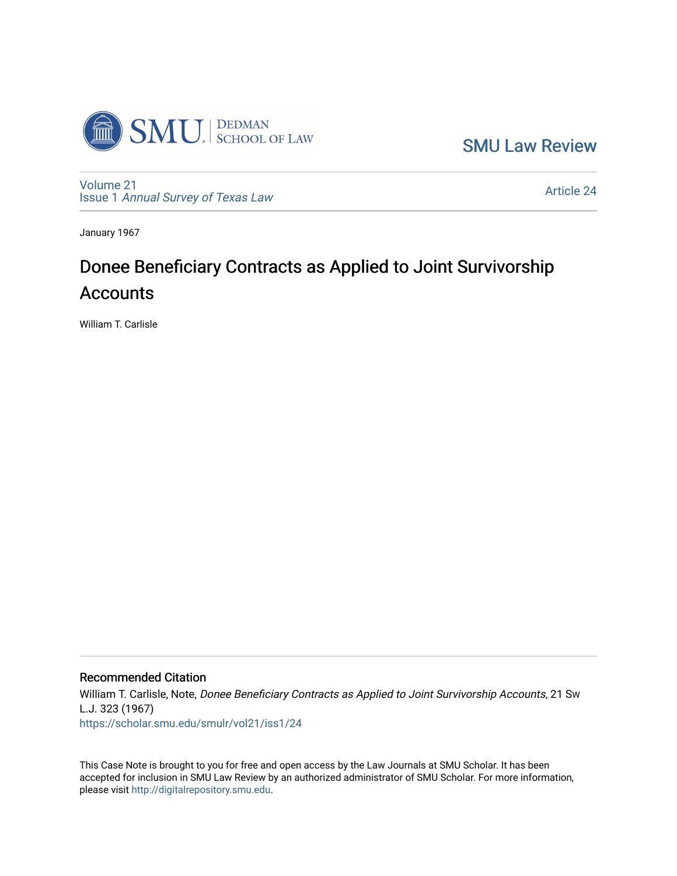

[SMU Law Review](https://scholar.smu.edu/smulr) 

[Volume 21](https://scholar.smu.edu/smulr/vol21) Issue 1 [Annual Survey of Texas Law](https://scholar.smu.edu/smulr/vol21/iss1) 

[Article 24](https://scholar.smu.edu/smulr/vol21/iss1/24) 

January 1967

# Donee Beneficiary Contracts as Applied to Joint Survivorship **Accounts**

William T. Carlisle

### Recommended Citation

William T. Carlisle, Note, Donee Beneficiary Contracts as Applied to Joint Survivorship Accounts, 21 Sw L.J. 323 (1967) [https://scholar.smu.edu/smulr/vol21/iss1/24](https://scholar.smu.edu/smulr/vol21/iss1/24?utm_source=scholar.smu.edu%2Fsmulr%2Fvol21%2Fiss1%2F24&utm_medium=PDF&utm_campaign=PDFCoverPages)

This Case Note is brought to you for free and open access by the Law Journals at SMU Scholar. It has been accepted for inclusion in SMU Law Review by an authorized administrator of SMU Scholar. For more information, please visit [http://digitalrepository.smu.edu.](http://digitalrepository.smu.edu/)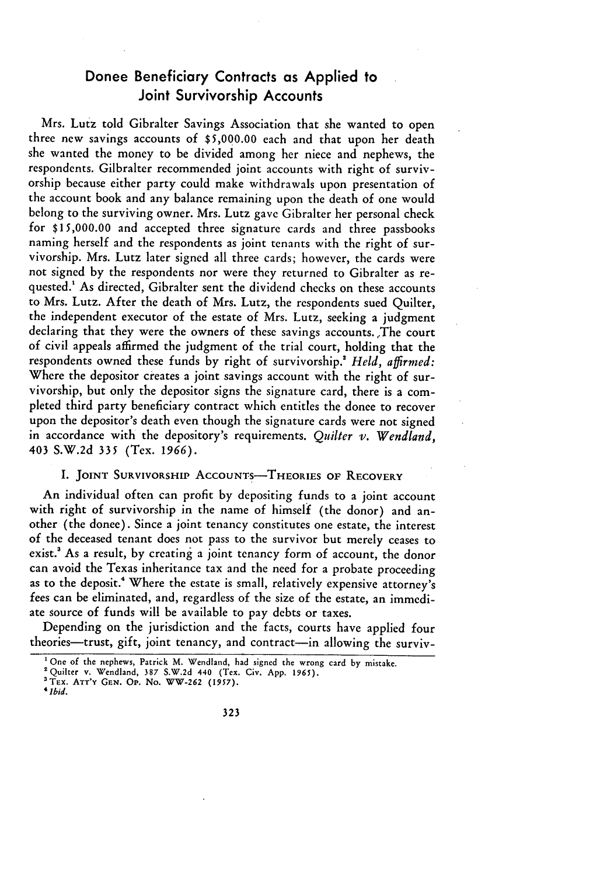## Donee Beneficiary Contracts as Applied to Joint Survivorship Accounts

Mrs. Lutz told Gibralter Savings Association that she wanted to open three new savings accounts of **\$5,000.00** each and that upon her death she wanted the money to be divided among her niece and nephews, the respondents. Gilbralter recommended joint accounts with right of survivorship because either party could make withdrawals upon presentation of the account book and any balance remaining upon the death of one would belong to the surviving owner. Mrs. Lutz gave Gibralter her personal check for **\$15,000.00** and accepted three signature cards and three passbooks naming herself and the respondents as joint tenants with the right of survivorship. Mrs. Lutz later signed all three cards; however, the cards were not signed by the respondents nor were they returned to Gibralter as requested.' As directed, Gibralter sent the dividend checks on these accounts to Mrs. Lutz. After the death of Mrs. Lutz, the respondents sued Quilter, the independent executor of the estate of Mrs. Lutz, seeking a judgment declaring that they were the owners of these savings accounts. The court of civil appeals affirmed the judgment of the trial court, holding that the respondents owned these funds by right of survivorship.<sup>2</sup> Held, affirmed: Where the depositor creates a joint savings account with the right of survivorship, but only the depositor signs the signature card, there is a completed third party beneficiary contract which entitles the donee to recover upon the depositor's death even though the signature cards were not signed in accordance with the depository's requirements. *Quilter v. Wendland,* 403 S.W.2d **335** (Tex. *1966).*

#### **I. JOINT** SURVIVORSHIP ACCOUNTS-THEORIES **OF RECOVERY**

An individual often can profit by depositing funds to a joint account with right of survivorship in the name of himself (the donor) and another (the donee). Since a joint tenancy constitutes one estate, the interest of the deceased tenant does not pass to the survivor but merely ceases to exist.<sup>3</sup> As a result, by creating a joint tenancy form of account, the donor can avoid the Texas inheritance tax and the need for a probate proceeding as to the deposit." Where the estate is small, relatively expensive attorney's fees can be eliminated, and, regardless of the size of the estate, an immediate source of funds will be available to pay debts or taxes.

Depending on the jurisdiction and the facts, courts have applied four theories-trust, gift, joint tenancy, and contract-in allowing the surviv-

**<sup>&#</sup>x27;** One of the nephews, Patrick M. Wendland, had signed the wrong card by mistake.

<sup>&#</sup>x27;Quilter v. Wendland, 387 S.W.2d 440 (Tex. Civ. App. 1965).

**<sup>&#</sup>x27;TEX.** ATT'Y **GEN. Op.** No. WW-262 *(1957).* <sup>4</sup> *bid.*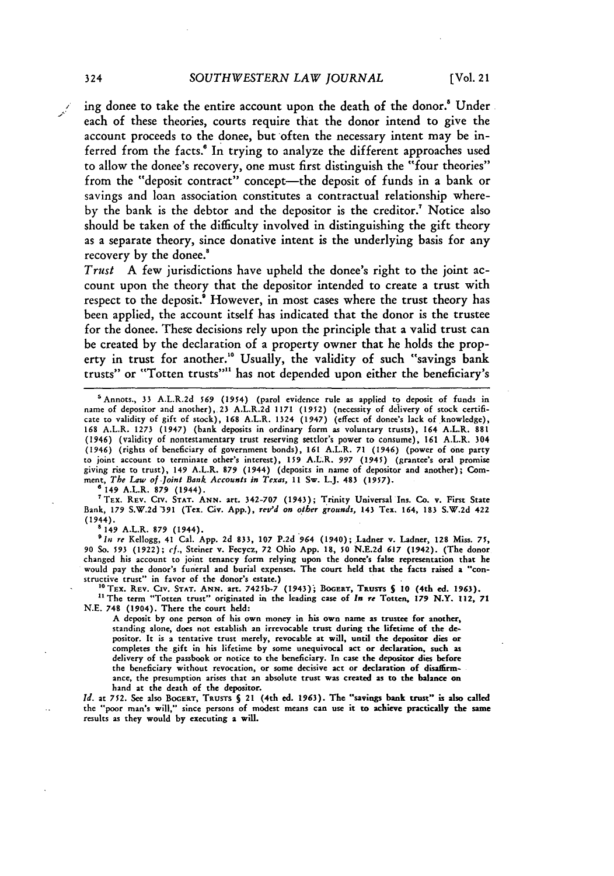ing donee to take the entire account upon the death of the donor.' Under each of these theories, courts require that the donor intend to give the account proceeds to the donee, but often the necessary intent may be inferred from the facts.<sup>6</sup> In trying to analyze the different approaches used to allow the donee's recovery, one must first distinguish the "four theories" from the "deposit contract" concept-the deposit of funds in a bank or savings and loan association constitutes a contractual relationship whereby the bank is the debtor and the depositor is the creditor.<sup>7</sup> Notice also should be taken of the difficulty involved in distinguishing the gift theory as a separate theory, since donative intent is the underlying basis for any recovery by the donee.<sup>8</sup>

*Trust* **A** few jurisdictions have upheld the donee's right to the joint account upon the theory that the depositor intended to create a trust with respect to the deposit.<sup>8</sup> However, in most cases where the trust theory has been applied, the account itself has indicated that the donor is the trustee for the donee. These decisions rely upon the principle that a valid trust can be created **by** the declaration of a property owner that he holds the property in trust for another." Usually, the validity of such "savings bank trusts" or "Totten trusts"'1 has not depended upon either the beneficiary's

0149 A.L.R. **879** (1944).

TEX. **REV.** Cirv. **STAT. ANN.** art. **342-707** (1943); Trinity Universal Ins. Co. v. First State Bank, **179 S.W.2d 391** (Tex. Civ. **App.), resrd** *on other grounds,* 143 Tex. 164, **183 S.W.2d** 422 (1944). s 149 A.L.R. **879** (1944).

*'In re* Kellogg, 41 Cal. App. 2d 833, **107** P.2d 964 (1940); Ladner v. Ladner, 128 Miss. **75, 90** So. **593 (1922);** *cf.,* Steiner v. Fecycz, **72** Ohio App. 18, **50** N.E.2d **617** (1942). (The donor changed his account to joint tenancy form relying upon the donee's false representation that he would pay the donor's funeral and burial expenses. The court held that the facts raised a "constructive trust" in favor of the donor's estate.)

<sup>10</sup> TEX. REV. CIV. STAT. ANN. art. 7425b-7 (1943); BOGERT, TRUSTS § 10 (4th ed. 1963).<br><sup>11</sup> The term "Totten trust" originated in the leading case of *In re* Totten, 179 N.Y. 112, 71 **N.E.** 748 (1904). There the court **held:**

**A** deposit **by** one person of his own money in his own name as trustee for another, standing alone, does **not** establish an irrevocable trust during the lifetime **of** the **de**positor. It is a tentative trust merely, revocable at will, until the depositor dies or completes the gift in his lifetime **by** some unequivocal act or declaration, such as delivery of the passbook or notice to the beneficiary. In case the depositor dies before the beneficiary without revocation, or some decisive act or declaration of disaffirmance, the presumption arises that an absolute trust was created as to the **balance on** hand at the death of the depositor.

*Id.* at **752. See** also **BOGERT,** TRusTs *5* 21 (4th ed. **1963).** The "savings bank trust" **is also** called the "poor man's will," since persons of modest means can use it to achieve practically the same results as they would by executing a will.

<sup>&#</sup>x27;Annots., 33 A.L.R.2d *569* (1954) (parol evidence rule as applied to deposit of funds in name of depositor and another), 23 A.L.R.2d **1171 (1952)** (necessity of delivery of stock certificate to validity of gift of stock), **168** A.L.R. 1324 (1947) (effect of donee's lack of knowledge), **168** A.L.R. 1273 (1947) (bank deposits in ordinary form as voluntary trusts), 164 A.L.R. 881 (1946) (validity of nontestamentary trust reserving settlor's power to consume), **161** A.L.R. 304 (1946) (rights of beneficiary of government bonds), **161** A.L.R. **71** (1946) (power of one party to joint account to terminate other's interest), 159 A.L.R. *997* (1945) (grantee's oral promise giving rise to trust), 149 A.L.R. 879 (1944) (deposits in name of depositor and another); Comment, *The Law of-Joint Bank Accounts in Texas,* **11** Sw. L.J. 483 **(1957).**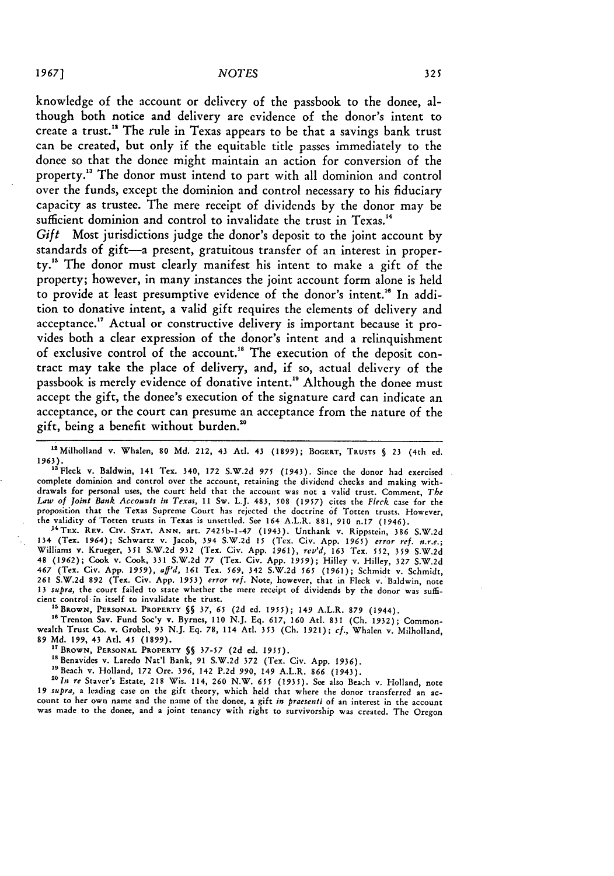knowledge of the account or delivery of the passbook to the donee, although both notice and delivery are evidence of the donor's intent to create a trust."' The rule in Texas appears to be that a savings bank trust can **be** created, but only if the equitable title passes immediately to the donee so that the donee might maintain an action for conversion of the property.<sup>13</sup> The donor must intend to part with all dominion and control over the funds, except the dominion and control necessary to his fiduciary capacity as trustee. The mere receipt of dividends **by** the donor may **be** sufficient dominion and control to invalidate the trust in Texas.<sup>14</sup>

*Gift* Most jurisdictions judge the donor's deposit to the joint account **by** standards of gift-a present, gratuitous transfer of an interest in property."5 The donor must clearly manifest his intent to make a gift of the property; however, in many instances the joint account form alone is held to provide at least presumptive evidence of the donor's intent.'" In addition to donative intent, a valid gift requires the elements of delivery and acceptance."7 Actual or constructive delivery is important because it provides both a clear expression of the donor's intent and a relinquishment of exclusive control of the account.<sup>18</sup> The execution of the deposit contract may take the place of delivery, and, if so, actual delivery of the passbook is merely evidence of donative intent.<sup>19</sup> Although the donee must accept the gift, the donee's execution of the signature card can indicate an acceptance, or the court can presume an acceptance from the nature of the gift, being a benefit without burden."0

1 t Milholland v. Whalen, **80 Md.** 212, **43** Atl. 43 **(1899);** BOGERT, TRUSTS **§** 23 (4th **ed.** 1963). "aFleck v. Baldwin, 141 Tex. 340, **172** S.W.2d 975 (1943). Since the donor had exercised

complete dominion and control over the account, retaining the dividend checks and making withdrawals for personal uses, the court **held** that the account was not a valid trust. Comment, *The Law of Joint Bank Accounts in Texas,* **11** Sw. L.J. 483, **508** (1957) cites the *Fleck* case for the proposition that the Texas Supreme Court has rejected the doctrine **of** Totten trusts. However, the validity of Totten trusts in Texas is unsettled. See 164 A.L.R. 881, **910** n.17 (1946).

"'TEx. **REV. CIV. STAT. ANN.** art. 7425b-1-47 (1943). Unthank v. Rippstein, **386** S.W.2d **134** (Tex. 1964); Schwartz v. Jacob, **394** S.W.2d 15 (Tex. Civ. App. 1965) *error ref. n.r.e.;* Williams v. Krueger, 351 S.W.2d 932 (Tex. Civ. App. 1961), *rev'd,* **163** Tex. 552, **359** S.W.2d 48 (1962); Cook v. Cook, 331 S.W.2d **77** (Tex. Civ. App. **1959);** Hilley v. Hilley, **327** S.W.2d 467 (Tex. Civ. App. 1959), aff'd, 161 Tex. 569, 342 S.W.2d 565 (1961); Schmidt v. Schmidt<br>261 S.W.2d 892 (Tex. Civ. App. 1953) error ref. Note, however, that in Fleck v. Baldwin, note **13** *supra,* the court failed to state whether the mere receipt of dividends **by** the donor was suffi**cient** control in itself **to** invalidate the trust. **<sup>i</sup>**

**<sup>5</sup> BROWN, PERSONAL PROPERTY §5 37, 65** (2d ed. **1955);** 149 A.L.R. **879** (1944).

"Trenton Sav. Fund Soc'y v. Byrnes, **110** N.J. Eq. **617, 160** Atl. 831 (Ch. 1932); Common-wealth Trust Co. v. Grobel, 93 N.J. Eq. **78,** 114 Atil. 353 (Ch. 1921); *cf.,* Whalen v. Milholland, 89 **Md.** 199, 43 Atl. 45 **(1899).**

**" <sup>1</sup> BRoWN, PERSONAL** PROPERTY **§§ 37-57** (2d ed. 1955).

<sup>18</sup> Benavides v. Laredo Nat'l Bank, 91 S.W.2d 372 (Tex. Civ. App. 1936).

"Beach v. Holland, **172** Ore. 396, 142 P.2d 990, 149 A.L.R. **866** (1943).

*"In* **re** Staver's Estate, 218 Wis. 114, **260** N.W. **655** (1935). See also Bea.:h v. Holland, note *19 supra,* **a** leading case on the gift theory, which held that where the donor transferred an account to her own name and the name **of** the donee, a gift *in praesenti* **of an interest in** the account was made to the donee, and a joint tenancy with right to survivorship was created. The Oregon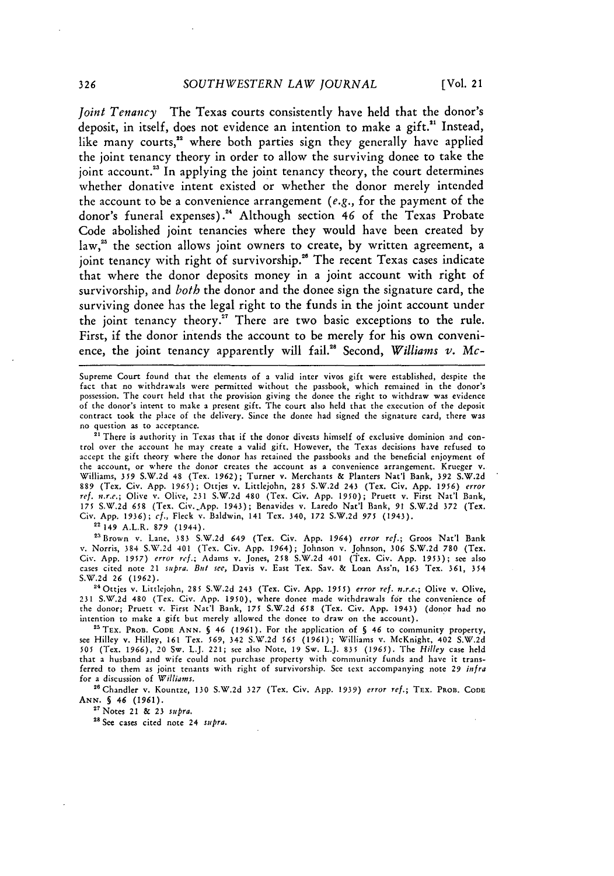*Joint Tenancy* The Texas courts consistently have held that the donor's deposit, in itself, does not evidence an intention to make a gift.<sup>21</sup> Instead, like many courts,<sup>22</sup> where both parties sign they generally have applied the joint tenancy theory in order to allow the surviving donee to take the joint account.<sup>23</sup> In applying the joint tenancy theory, the court determines whether donative intent existed or whether the donor merely intended the account to be a convenience arrangement *(e.g.,* for the payment of the donor's funeral expenses).<sup>24</sup> Although section 46 of the Texas Probate Code abolished joint tenancies where they would have been created **by** law,<sup>25</sup> the section allows joint owners to create, by written agreement, a joint tenancy with right of survivorship.<sup>26</sup> The recent Texas cases indicate that where the donor deposits money in a joint account with right of survivorship, and *both* the donor and the donee sign the signature card, the surviving donee has the legal right to the funds in the joint account under the joint tenancy theory.<sup>27</sup> There are two basic exceptions to the rule. First, if the donor intends the account to be merely for his own convenience, the joint tenancy apparently will fail.<sup>28</sup> Second, *Williams v. Mc-*

Supreme Court found that the elements of a valid inter vivos gift were established, despite the fact that no withdrawals were permitted without the passbook, which remained in the donor's possession. The court held that the provision giving the donee the right to withdraw was evidence of the donor's intent to make a present gift. The court also held that the execution of the deposit contract took the place of the delivery. Since the donee had signed the signature card, there was no question as to acceptance.

<sup>21</sup> There is authority in Texas that if the donor divests himself of exclusive dominion and control over the account he may create a valid gift. However, the Texas decisions have refused to accept the gift theory where the donor has retained the passbooks and the beneficial enjoyment of the account, or where the donor creates the account as a convenience arrangement. Krueger v. Williams, 359 S.W.2d 48 (Tex. 1962); Turner v. Merchants & Planters Nat'l Bank, 392 S.W.2d<br>889 (Tex. Civ. App. 1965); Ottjes v. Littlejohn, 285 S.W.2d 243 (Tex. Civ. App. 1956) *error*<br>ref. n.r.e.; Olive v. Olive, 231 S.W. 175 S.W.2d **658** (Tex. Civ.\_App. 1943); Benavides v. Laredo Nat'l Bank, 91 S.W.2d 372 (Tex. Civ. App. 1936); *cf.,* Fleck v. Baldwin, 141 Tex. 340, 172 S.W.2d 975 (1943).

**22** 149 A.L.R. **879** (1944).

2aBrown v. Lane, **383** S.W.2d 649 (Tex. Civ. App. 1964) *error ref.;* Groos Nat'l Bank v. Norris, 384 S.W.2d 401 (Tex. Civ. App. 1964); Johnson v. Johnson, **306** S.W.2d 780 (Tex. Civ. App. 1957) *error ref.;* Adams v. Jones, 258 S.W.2d 401 (Tex. Civ. App. 1953); see also cases cited note 21 supra. *But see,* Davis v. East Tex. Say. & Loan Ass'n, **163** Tex. 361, 354 S.W.2d **26** (1962).

<sup>24</sup> Ottjes v. Littlejohn, 285 S.W.2d 243 (Tex. Civ. App. 1955) error ref. n.r.e.; Olive v. Olive, 231 S.W.2d 480 (Tex. Civ. App. 1950), where donee made withdrawals for the convenience of the donor; Pruett v. First Nat'l Bank, **175** S.W.2d **658** (Tex. Civ. App. 1943) (donor had no intention to make a gift but merely allowed the donee to draw on the account). <sup>2</sup>

<sup>25</sup> TEX. PROB. CODE ANN. § 46 (1961). For the application of § 46 to community property, see Hilley v. Hilley, 161 Tex. 569, 342 S.W.2d **565** (1961); Williams v. McKnight, 402 S.W.2d **505** (Tex. **1966),** 20 Sw. L.J. 221; see also Note, 19 Sw. L.J. 835 (1965). The *Hilley* case held that a husband and wife could not purchase property with community funds and have it transferred to them as joint tenants with right of survivorship. See text accompanying note *29 infra* for a discussion of *Williams.*

2"Chandler v. Kountze, 130 S.W.2d 327 (Tex. Civ. App. *1939) error ref.;* TEx. **PROB.** CODE **ANN. §** *46* (1961).

**<sup>27</sup>**Notes 21 & 23 *supra.*

<sup>28</sup> See cases cited note 24 *supra*.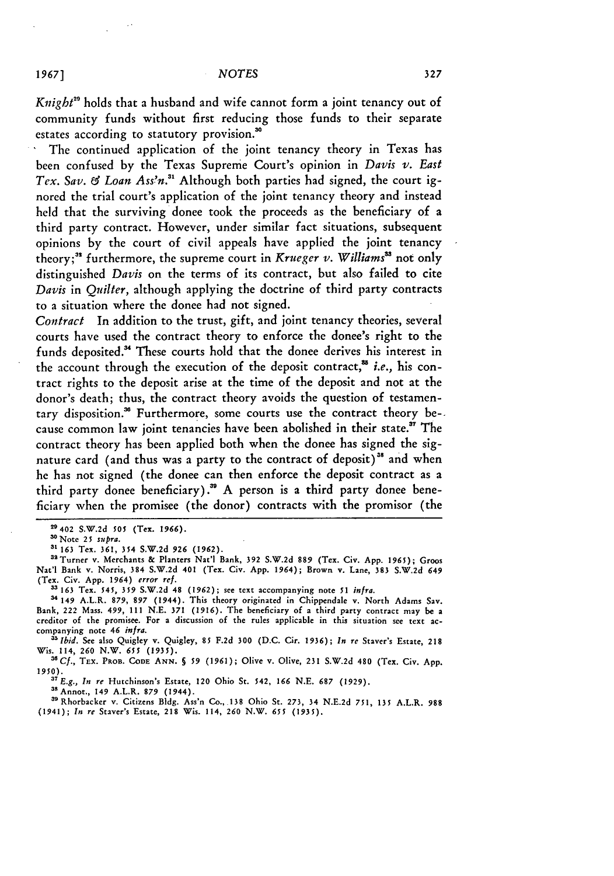*Knight"* holds that a husband and wife cannot form a joint tenancy out of community funds without first reducing those funds to their separate estates according to statutory provision.'

The continued application of the joint tenancy theory in Texas has been confused by the Texas Supreme Court's opinion in *Davis v. East Tex. Say. & Loan Ass'n.31* Although both parties had signed, the court ignored the trial court's application of the joint tenancy theory and instead held that the surviving donee took the proceeds as the beneficiary of a third party contract. However, under similar fact situations, subsequent opinions by the court of civil appeals have applied the joint tenancy theory;<sup>32</sup> furthermore, the supreme court in *Krueger v*. Williams<sup>33</sup> not only distinguished *Davis* on the terms of its contract, but also failed to cite *Davis* in *Quilter,* although applying the doctrine of third party contracts to a situation where the donee had not signed.

*Contract* In addition to the trust, gift, and joint tenancy theories, several courts have used the contract theory to enforce the donee's right to the funds deposited.<sup>34</sup> These courts hold that the donee derives his interest in the account through the execution of the deposit contract,<sup>35</sup> *i.e.*, his contract rights to the deposit arise at the time of the deposit and not at the donor's death; thus, the contract theory avoids the question of testamentary disposition.<sup>38</sup> Furthermore, some courts use the contract theory be-. cause common law joint tenancies have been abolished in their state." The contract theory has been applied both when the donee has signed the signature card (and thus was a party to the contract of deposit)<sup>38</sup> and when he has not signed (the donee can then enforce the deposit contract as a third party donee beneficiary)." A person is a third party donee beneficiary when the promisee (the donor) contracts with the promisor (the

**3' 163** Tex. 361, 354 S.W.2d *926* (1962).

(Tex. Civ. App. 1964) *error ref.* **33 163** Tex. *545,* **359** S.W.2d 48 **(1962);** see text accompanying note *51 infra.*

**<sup>34</sup>**149 A.L.R. 879, *897* (1944). This theory originated in Chippendale v. North Adams Sav. Bank, 222 Mass. 499, 111 N.E. 371 (1916). The beneficiary of a third party contract may be a creditor of the promisee. For a discussion of the rules applicable in this situation see text accompanying note *46 infra.*

*Ibid.* See **also** Quigley v. Quigley, 85 F.2d **300** (D.C. Cir. **1936);** *In* re Staver's Estate, 218 Wis. 114, **260** N.W. *655* **(1935).**

**'"Cf.,** TEx. PROB. **CODE** ANN. *S 59* (1961); Olive v. Olive, 231 S.W.2d 480 (Tex. Civ. App. **1950).***<sup>7</sup>E.g., In re* Hutchinson's Estate, 120 Ohio St. 542, **166** N.E. **687** (1929).

38Annot., 149 A.L.R. **879** (1944).

'"Rhorbacker v. Citizens Bldg. Ass'n Co., 138 Ohio St. 273, 34 N.E.2d **751,** 135 A.L.R. **988** (1941); *In re* Staver's Estate, 218 Wis. 114, **260** N.W. *655* (1935).

<sup>29402</sup> **S.W.2d** 505 (Tex. *1966).*

noNote **25** *supra.*

<sup>&</sup>quot; 3 Turner v. Merchants & Planters Nat'l Bank, **392** S.W.2d 889 (Tex. Civ. App. **1965);** Groos Nat'l Bank v. Norris, 384 S.W.2d 401 (Tex. Civ. App. 1964); Brown v. Lane, 383 S.W.2d *649*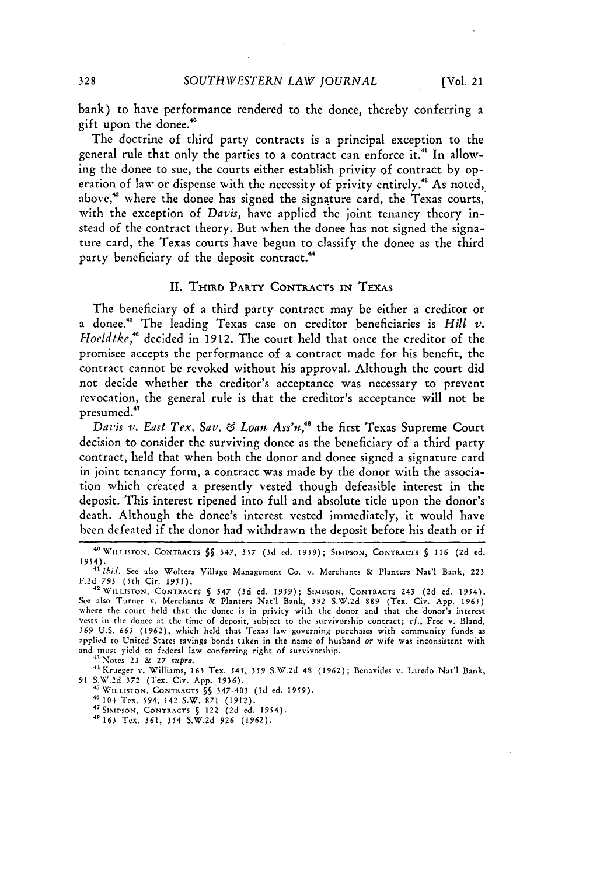bank) to have performance rendered to the donee, thereby conferring a gift upon the donee.'

The doctrine of third party contracts is a principal exception to the general rule that only the parties to a contract can enforce it."' In allowing the donee to sue, the courts either establish privity of contract **by** operation of law or dispense with the necessity of privity entirely."' As noted, above,<sup>43</sup> where the donee has signed the signature card, the Texas courts, with the exception of *Davis,* have applied the joint tenancy theory instead of the contract theory. But when the donee has not signed the signature card, the Texas courts have begun to classify the donee as the third party beneficiary of the deposit contract.<sup>44</sup>

#### II. THIRD **PARTY CONTRACTS IN TEXAS**

The beneficiary of a third party contract may be either a creditor or a donee.' The leading Texas case on creditor beneficiaries is *Hill v. Hoeldtke,"* decided in 1912. The court held that once the creditor of the promisee accepts the performance of a contract made for his benefit, the contract cannot be revoked without his approval. Although the court did not decide whether the creditor's acceptance was necessary to prevent revocation, the general rule is that the creditor's acceptance will not be presumed."

*Davis v. East Tex. Say. & Loan Ass'n,"* the first Texas Supreme Court decision to consider the surviving donee as the beneficiary of a third party contract, held that when both the donor and donee signed a signature card in joint tenancy form, a contract was made **by** the donor with the association which created a presently vested though defeasible interest in the deposit. This interest ripened into full and absolute title upon the donor's death. Although the donee's interest vested immediately, it would have been defeated if the donor had withdrawn the deposit before his death or if

43 Notes 23 & 27 supra.<br>
<sup>43</sup> Notes 23 & 27 supra.<br>
<sup>44</sup> Krueger v. Williams, 163 Tex. 545, 359 S.W.2d 48 (1962); Benavides v. Laredo Nat'l Bank,<br>
91 S.W.2d 372 (Tex. Civ. App. 1936).

*<sup>91</sup>***S.W.2d 372** (Tex. Civ. **App.** 1936). **45WILLISTON, CONTRACTS §§** 347-403 **(3d ed.** 1959). **<sup>41</sup>**104 Tex. 594, 142 S.W. **871 (1912).**

**SSIMvsoN, CONTRACTS §** 122 **(2d ed.** 1954).

41 163 Tex. 361, 354 **S.W.2d** 926 **(1962).**

**<sup>40</sup>WILLISTON, CONTRACTS §§** 347, **357 (3d ed.** 1959); **SIMPSON, CONTRACTS §** *116* **(2d ed.** 1954). *"' Ibid. See* also Wolters Village Management Co. v. Merchants **&** Planters Nat'l Bank, **223**

**F.2d** *793* (5th Cir. **1955). 42WILLISTON, CONTRACTS §** 347 **(3d ed.** *1959);* **SIMPSON,** CONTRACTS 243 **(2d ed.** 1954).

See also Turner v. Merchants **&** Planters Nat'l Bank, **392 S.W.2d 889 (Tex. Civ. App.** *1965)* where the court **held** that the donee is in privity with the donor and that the donor's **interest** vests in the donee at the time of deposit, subject to the survivorship contract; *cf.,* **Free v.** Bland, *369* **U.S.** *663* **(1962),** which held that Texas law governing purchases with community funds as applied to United States savings bonds taken in the name of husband or wife was inconsistent with and must yield to federal law conferring right of survivorship.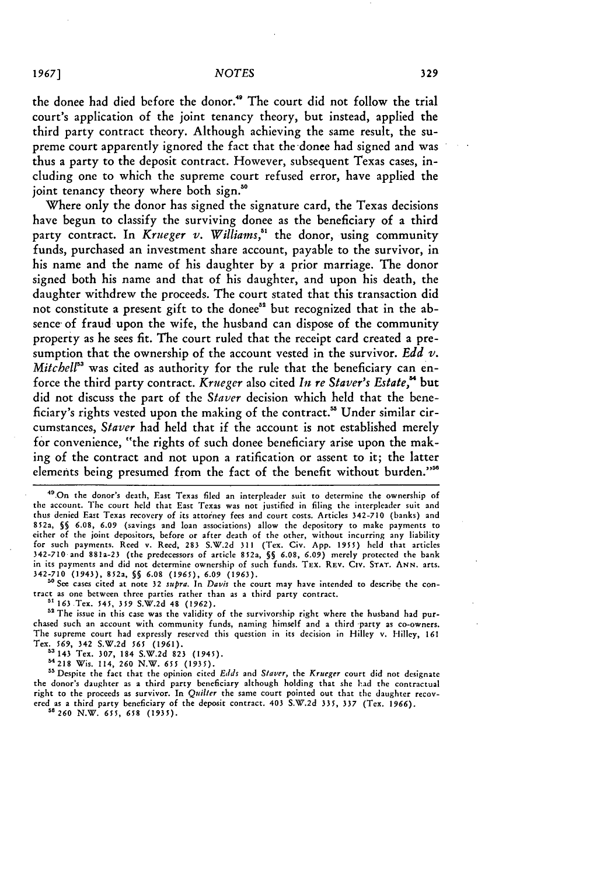the donee had died before the donor."' The court did not follow the trial court's application of the joint tenancy theory, but instead, applied the third party contract theory. Although achieving the same result, the supreme court apparently ignored the fact that the donee had signed and was thus a party to the deposit contract. However, subsequent Texas cases, including one to which the supreme court refused error, have applied the joint tenancy theory where both sign.<sup>30</sup>

Where only the donor has signed the signature card, the Texas decisions have begun to classify the surviving donee as the beneficiary of a third party contract. In *Krueger v. Williams*,<sup>51</sup> the donor, using community funds, purchased an investment share account, payable to the survivor, in his name and the name of his daughter by a prior marriage. The donor signed both his name and that of his daughter, and upon his death, the daughter withdrew the proceeds. The court stated that this transaction did not constitute a present gift to the donee" but recognized that in the absence of fraud upon the wife, the husband can dispose of the community property as he sees fit. The court ruled that the receipt card created a presumption that the ownership of the account vested in the survivor. *Edd v. Mitchell*<sup>33</sup> was cited as authority for the rule that the beneficiary can enforce the third party contract. *Krueger* also cited *In re Staver's Estate,"* but did not discuss the part of the *Staver* decision which held that the beneficiary's rights vested upon the making of the contract." Under similar circumstances, *Staver* had held that if the account is not established merely for convenience, "the rights of such donee beneficiary arise upon the making of the contract and not upon a ratification or assent to it; the latter elements being presumed from the fact of the benefit without burden."<sup>56</sup>

**" See** cases cited at note **32** *supra.* In Davis the court may have intended to describe the contract as one between three parties rather than as a third party contract.

**5i 163** Tex. 545, *359* S.W.2d 48 (1962).

<sup>52</sup> The issue in this case was the validity of the survivorship right where the husband had purchased such an account with community funds, naming himself and a third party as co-owners. The supreme court had expressly reserved this question in its decision in Hilley v. Hilley, **161** Tex. **569,** 342 S.W.2d *565* (1961). "a <sup>14</sup> 3 Tex. **307,** 184 S.W.2d **823** (1945).

m218 Wis. 114, **260** N.W. *655 (1935).*

<sup>55</sup> Despite the fact that the opinion cited Edds and *Staver*, the *Krueger* court did not designate the donor's daughter as a third party beneficiary although holding that she had the contractual right to the proceeds as survivor. In *Quilter* the same court pointed out that the daughter recovered as a third party beneficiary of the deposit contract. 403 S.W.2d **335, 337** (Tex. **1966).**

*5'260* N.W. 655, **658** (1935).

**<sup>4&</sup>quot;.On** the donor's death, East Texas filed an interpleader suit to determine the ownership of the account. The court held that East Texas was not justified in filing the interpleader suit and thus denied East Texas recovery of its attorney fees and court costs. Articles 342-710 (banks) and 852a, **§§ 6.08, 6.09** (savings and loan associations) allow the depository to make payments to either of the joint depositors, before or after death of the other, without incurring any liability for such payments. Reed v. Reed, 283 S.W.2d 311 (Tex. Civ. App. *1955)* held that articles 342-710 and 881a-23 (the predecessors of article 852a, **§§ 6.08,** *6.09)* merely protected the bank in its payments and did not determine ownership of such funds. TEx. REv. Civ. **STAT. ANN.** arts. 342-710 (1943), 852a, **§§ 6.08** (1965), 6.09 **(1963).**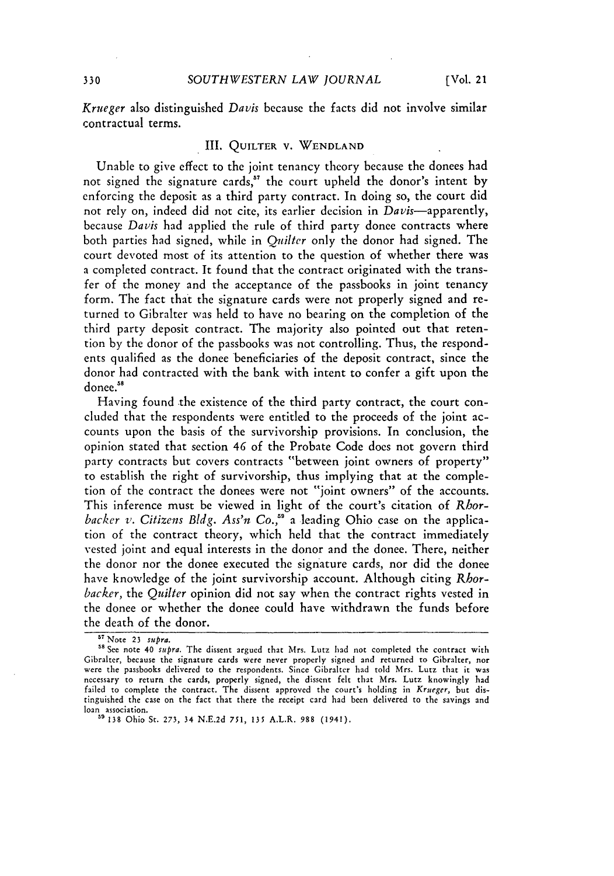*Krueger* also distinguished *Davis* because the facts did not involve similar contractual terms.

#### III. **QUILTER V. WENDLAND**

Unable to give effect to the joint tenancy theory because the donees had not signed the signature cards,<sup>57</sup> the court upheld the donor's intent by enforcing the deposit as a third party contract. In doing so, the court did not rely on, indeed did not cite, its earlier decision in Davis-apparently, because *Davis* had applied the rule of third party donee contracts where both parties had signed, while in *Qnilter* only the donor had signed. The court devoted most of its attention to the question of whether there was a completed contract. It found that the contract originated with the transfer of the money and the acceptance of the passbooks in joint tenancy form. The fact that the signature cards were not properly signed and returned to Gibralter was held to have no bearing on the completion of the third party deposit contract. The majority also pointed out that retention by the donor of the passbooks was not controlling. Thus, the respondents qualified as the donee beneficiaries of the deposit contract, since the donor had contracted with the bank with intent to confer a gift upon the donee.<sup>58</sup>

Having found the existence of the third party contract, the court concluded that the respondents were entitled to the proceeds of the joint accounts upon the basis of the survivorship provisions. In conclusion, the opinion stated that section 46 of the Probate Code does not govern third party contracts but covers contracts "between joint owners of property" to establish the right of survivorship, thus implying that at the completion of the contract the donees were not "joint owners" of the accounts. This inference must be viewed in light of the court's citation of *Rhorbacker v. Citizens Bldg. Ass'n Co.,"* a leading Ohio case on the application of the contract theory, which held that the contract immediately vested joint and equal interests in the donor and the donee. There, neither the donor nor the donee executed the signature cards, nor did the donee have knowledge of the joint survivorship account. Although citing Rhor*backer,* the *Quilter* opinion did not say when the contract rights vested in the donee or whether the donee could have withdrawn the funds before the death of the donor.

**<sup>57</sup>**Note **23** *supra.*

**<sup>18</sup>**See note 40 *supra.* The dissent argued that Mrs. Lutz had not completed the contract with Gibralter, because the signature cards were never properly signed and returned to Gibralter, nor were the passbooks delivered to the respondents. Since Gibralter had told Mrs. Lutz that it was necessary to return the cards, properly signed, the dissent felt that Mrs. Lutz knowingly had failed to complete the contract. The dissent approved the court's holding in *Krueger,* but distinguished the case on the fact that there the receipt card had been delivered to the savings and loan association. **"** 138 Ohio St. 273, 34 N.E.2d 751, 135 A.L.R. 988 (1941).